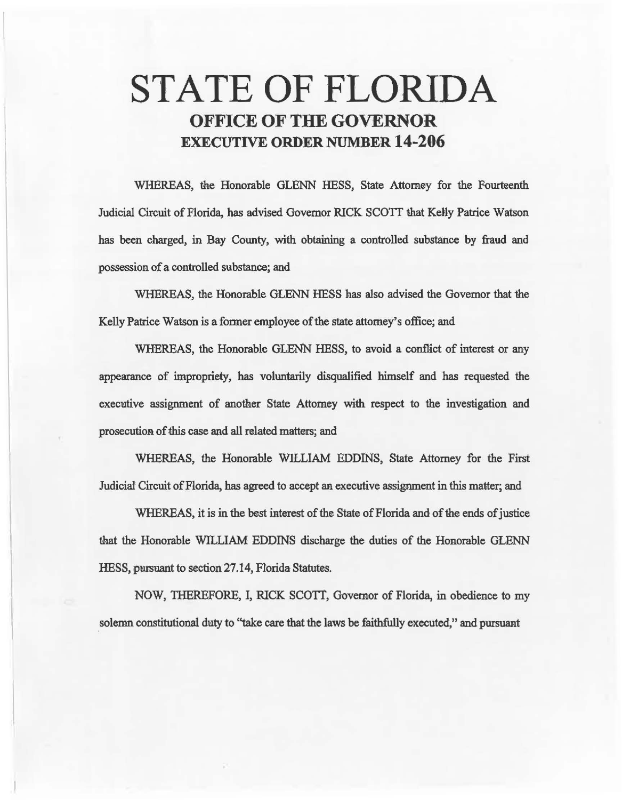# STATE OF FLORIDA OFFICE OF THE GOVERNOR EXECUTIVE ORDER NUMBER 14-206

WHEREAS, the Honorable GLENN HESS, State Attorney for the Fourteenth Judicial Circuit of Florida, has advised Governor RICK SCOTT that Kelly Patrice Watson has been charged, in Bay County, with obtaining a controlled substance by fraud and possession of a controlled substance; and

WHEREAS, the Honorable GLENN HESS has also advised the Governor that the Kelly Patrice Watson is a fonner employee of the state attomey's office; and

WHEREAS, the Honorable GLENN HESS, to avoid a conflict of interest or any appearance of impropriety, has voluntarily disqualified himself and has requested the executive assignment of another State Attorney with respect to the investigation and prosecution of this case and all related matters; and

WHEREAS, the Honorable WILLIAM EDDINS, State Attorney for the First Judicial Circuit of Florida, has agreed to accept an executive assigmnent in this matter; and

WHEREAS, it is in the best interest of the State of Florida and of the ends of justice that the Honorable WILLIAM EDDINS discharge the duties of the Honorable GLENN HESS, pursuant to section 27.14, Florida Statutes.

NOW, THEREFORE, I, RICK SCOTT, Governor of Florida, in obedience to my solemn constitutional duty to "take care that the laws be faithfully executed," and pursuant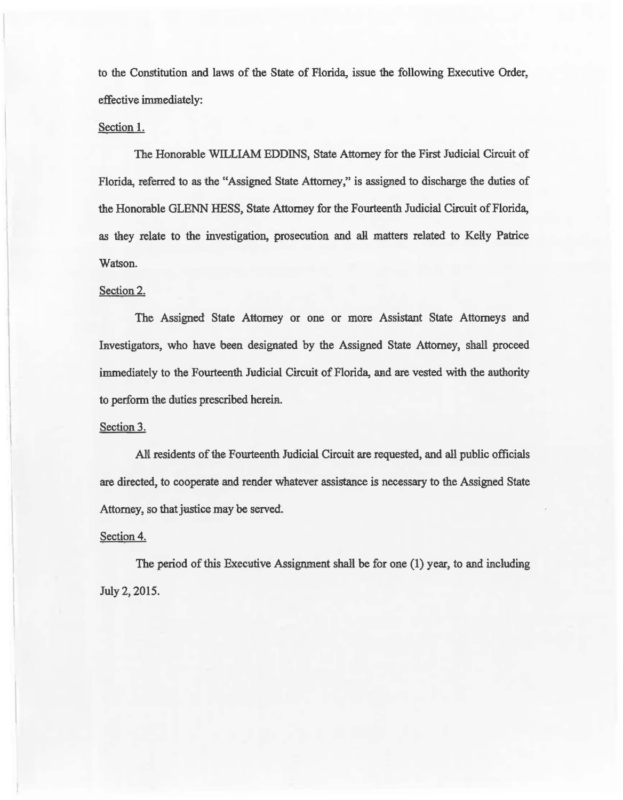to the Constitution and laws of the State of Florida, issue the following Executive Order, effective immediately:

## Section 1.

The Honorable WILLIAM EDDINS, State Attorney for the First Judicial Circuit of Florida, referred to as the "Assigned State Attorney," is assigned to discharge the duties of the Honorable GLENN HESS, State Attorney for the Fourteenth Judicial Circuit of Florida, as they relate to the investigation, prosecution and all matters related to Kelly Patrice Watson.

### Section 2.

The Assigned State Attorney or one or more Assistant State Attorneys and Investigators, who have been designated by the Assigned State Attorney, shall proceed immediately to the Fourteenth Judicial Circuit of Florida, and are vested with the authority to perform the duties prescribed herein.

#### Section 3.

AN residents of the Fourteenth Judicial Circuit are requested, and all public officials are directed, to cooperate and render whatever assistance is necessary to the Assigned State Attorney, so that justice may be served.

#### Section 4.

The period of this Executive Assignment shall be for one  $(1)$  year, to and including July 2, 2015.